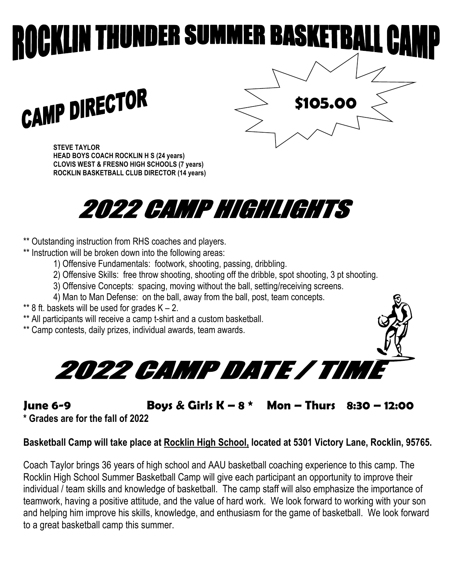## **KLIN THUNDER SUMMER BASKETBALI**

**CAMP DIRECTOR** 

**STEVE TAYLOR HEAD BOYS COACH ROCKLIN H S (24 years) CLOVIS WEST & FRESNO HIGH SCHOOLS (7 years) ROCKLIN BASKETBALL CLUB DIRECTOR (14 years)**



\*\* Outstanding instruction from RHS coaches and players.

- \*\* Instruction will be broken down into the following areas:
	- 1) Offensive Fundamentals: footwork, shooting, passing, dribbling.
	- 2) Offensive Skills: free throw shooting, shooting off the dribble, spot shooting, 3 pt shooting.
	- 3) Offensive Concepts: spacing, moving without the ball, setting/receiving screens.
	- 4) Man to Man Defense: on the ball, away from the ball, post, team concepts.
- \*\* 8 ft. baskets will be used for grades  $K 2$ .
- \*\* All participants will receive a camp t-shirt and a custom basketball.
- \*\* Camp contests, daily prizes, individual awards, team awards.



**June 6-9 Boys & Girls K – 8 \* Mon – Thurs 8:30 – 12:00** 

 **\$105.00**

**\* Grades are for the fall of 2022**

## **Basketball Camp will take place at Rocklin High School, located at 5301 Victory Lane, Rocklin, 95765.**

Coach Taylor brings 36 years of high school and AAU basketball coaching experience to this camp. The Rocklin High School Summer Basketball Camp will give each participant an opportunity to improve their individual / team skills and knowledge of basketball. The camp staff will also emphasize the importance of teamwork, having a positive attitude, and the value of hard work. We look forward to working with your son and helping him improve his skills, knowledge, and enthusiasm for the game of basketball. We look forward to a great basketball camp this summer.